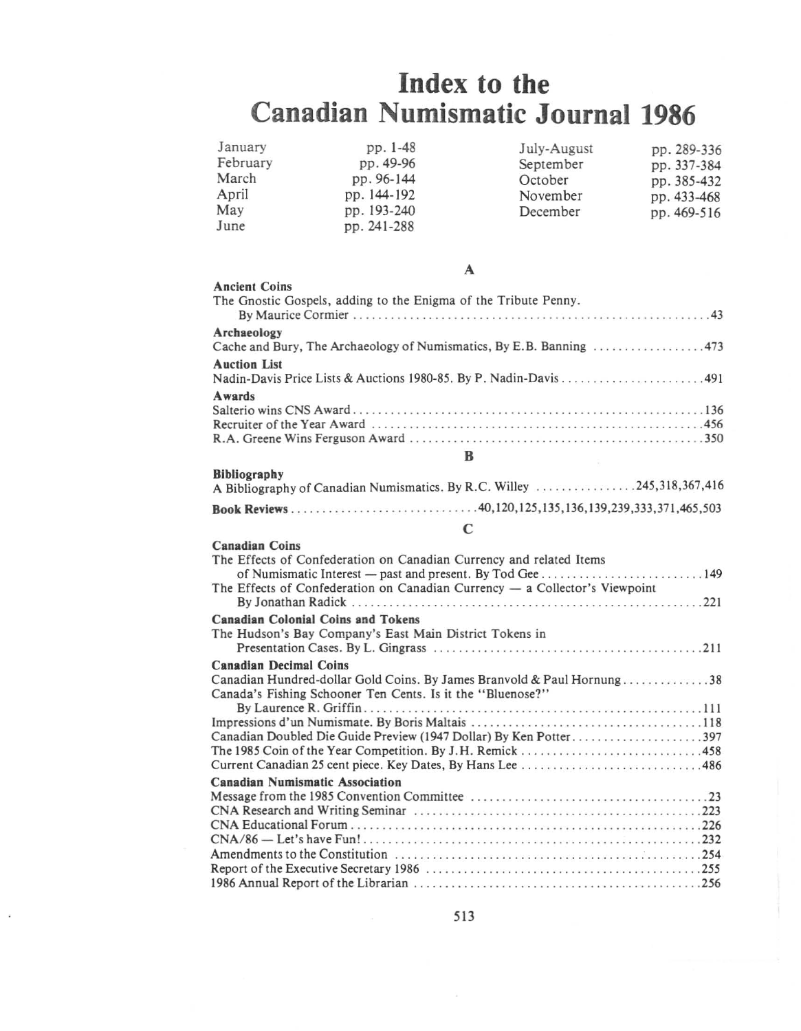# **Index to the Canadian Numismatic Journal 1986**

| January  | pp. 1-48    | July-August | pp. 289-336 |
|----------|-------------|-------------|-------------|
| February | pp. 49-96   | September   | pp. 337-384 |
| March    | pp. 96-144  | October     | pp. 385-432 |
| April    | pp. 144-192 | November    | pp. 433-468 |
| May      | pp. 193-240 | December    | pp. 469-516 |
| June     | pp. 241-288 |             |             |

## A

| <b>Ancient Coins</b><br>The Gnostic Gospels, adding to the Enigma of the Tribute Penny. |
|-----------------------------------------------------------------------------------------|
| Archaeology                                                                             |
|                                                                                         |
| <b>Auction List</b>                                                                     |
| Awards                                                                                  |
|                                                                                         |
|                                                                                         |

#### B

| <b>Bibliography</b><br>A Bibliography of Canadian Numismatics. By R.C. Willey 245,318,367,416 |  |
|-----------------------------------------------------------------------------------------------|--|
|                                                                                               |  |

### C

| <b>Canadian Coins</b>                                                         |
|-------------------------------------------------------------------------------|
| The Effects of Confederation on Canadian Currency and related Items           |
|                                                                               |
| The Effects of Confederation on Canadian Currency $-$ a Collector's Viewpoint |
|                                                                               |
| <b>Canadian Colonial Coins and Tokens</b>                                     |
| The Hudson's Bay Company's East Main District Tokens in                       |
|                                                                               |
| <b>Canadian Decimal Coins</b>                                                 |
| Canadian Hundred-dollar Gold Coins. By James Branvold & Paul Hornung38        |
| Canada's Fishing Schooner Ten Cents. Is it the "Bluenose?"                    |
|                                                                               |
|                                                                               |
| Canadian Doubled Die Guide Preview (1947 Dollar) By Ken Potter397             |
|                                                                               |
|                                                                               |
| <b>Canadian Numismatic Association</b>                                        |
|                                                                               |
|                                                                               |
|                                                                               |
|                                                                               |
|                                                                               |
|                                                                               |
|                                                                               |
|                                                                               |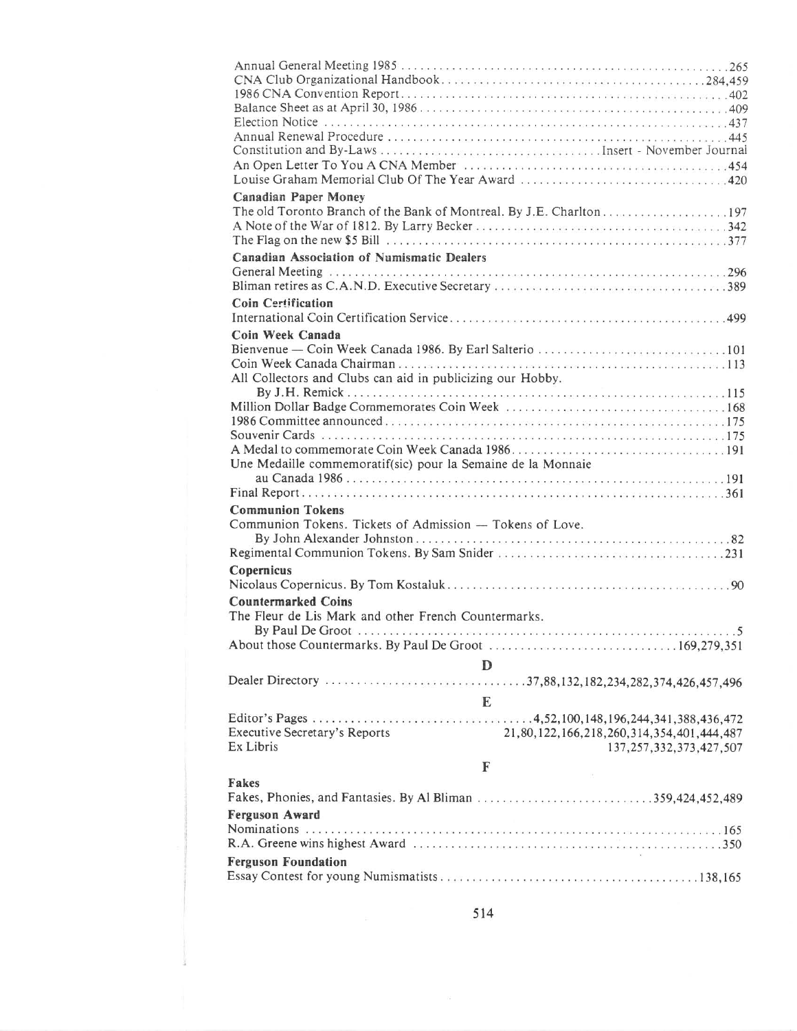| <b>Canadian Paper Money</b>                                                       |
|-----------------------------------------------------------------------------------|
|                                                                                   |
|                                                                                   |
| <b>Canadian Association of Numismatic Dealers</b>                                 |
|                                                                                   |
|                                                                                   |
| <b>Coin Certification</b>                                                         |
|                                                                                   |
| Coin Week Canada                                                                  |
|                                                                                   |
| All Collectors and Clubs can aid in publicizing our Hobby.                        |
|                                                                                   |
|                                                                                   |
|                                                                                   |
|                                                                                   |
| Une Medaille commemoratif(sic) pour la Semaine de la Monnaie                      |
|                                                                                   |
|                                                                                   |
| <b>Communion Tokens</b>                                                           |
| Communion Tokens. Tickets of Admission - Tokens of Love.                          |
|                                                                                   |
|                                                                                   |
| Copernicus                                                                        |
| <b>Countermarked Coins</b>                                                        |
| The Fleur de Lis Mark and other French Countermarks.                              |
|                                                                                   |
|                                                                                   |
| D                                                                                 |
|                                                                                   |
| E                                                                                 |
|                                                                                   |
| <b>Executive Secretary's Reports</b><br>21,80,122,166,218,260,314,354,401,444,487 |
| Ex Libris<br>137, 257, 332, 373, 427, 507                                         |
| $\mathbb F$                                                                       |
| Fakes                                                                             |
|                                                                                   |
| Ferguson Award                                                                    |
|                                                                                   |
| <b>Ferguson Foundation</b>                                                        |
|                                                                                   |
|                                                                                   |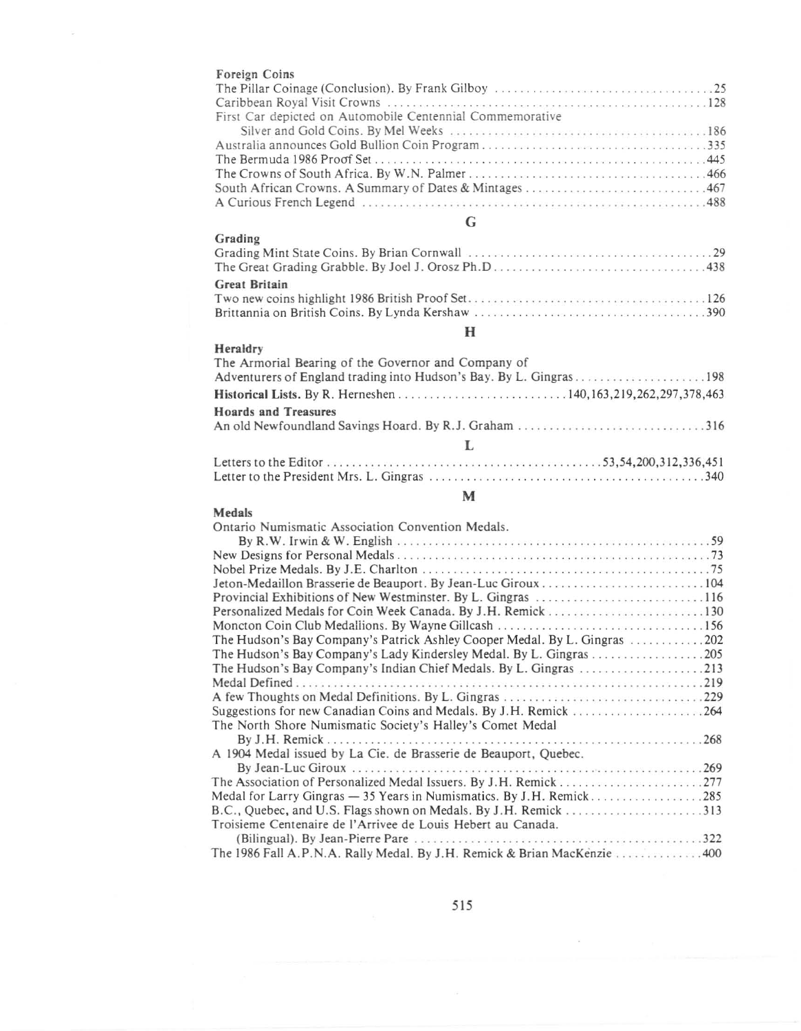| r oreign Coins                                            |
|-----------------------------------------------------------|
|                                                           |
|                                                           |
| First Car depicted on Automobile Centennial Commemorative |
|                                                           |
|                                                           |
|                                                           |
|                                                           |
|                                                           |
|                                                           |
|                                                           |

**Foreign Coins**

Grading

Medals

### G

| $\mathbf{u}$ . $\mathbf{u}$ . $\mathbf{u}$ |  |
|--------------------------------------------|--|
|                                            |  |
|                                            |  |
| Great Britain                              |  |
|                                            |  |
|                                            |  |

## H

| Heraldry                                            |
|-----------------------------------------------------|
| The Armorial Bearing of the Governor and Company of |
|                                                     |
|                                                     |
| <b>Hoards and Treasures</b>                         |
|                                                     |
|                                                     |
|                                                     |
|                                                     |

#### M

#### . .. 322 (Bilingual). By Jean-Pierre Pare. . . . . The 1986 Fall A.P.N.A. Rally Medal. By J.H. Remick & Brian MacKenzie ...............400 **Omario Numismatic Association Convention Medals.** By R.W. Irwin & W. English  $\cdots$   $\cdots$   $\cdots$   $\cdots$   $\cdots$   $\cdots$   $\cdots$   $\cdots$   $\cdots$   $\cdots$  59 New Designs for Personal Medals. . 73 Nobel Prize Medals. By J.E. Charlton .............................•................ <sup>75</sup> Jeton-Medaillon Brasserie de Beauport. By Jean-Luc Giroux ......•............•...... <sup>104</sup> Provincial Exhibitions of New Westminster. By L. Gingras ...........•............... <sup>116</sup> Personalized Medals for Coin Week Canada. By J.H. Remick............. . 130 Moncton Coin Club Medaliions. By Wayne Gillcash 156 The Hudson's Bay Company's Patrick Ashley Cooper Medal. By L. Gingras 202 The Hudson's Bay Company's Lady Kindersley Medal. By L. Gingras . . . . 205 The Hudson's Bay Company's Indian Chief Medals. By L. Gingras ..............•..... <sup>213</sup> Medal Defined. . . . . 219 <sup>A</sup> few Thoughts on Medal Definitions. By L. Gingras ..................•..•.......... <sup>229</sup> Suggestions for new Canadian Coins and Medals. By J.H. Remick 264 The North Shore Numismatic Society's Halley's Comet Medal By J.H. Remick. . 268 A 1904 Medal issued by La Cie. de Brasserie de Beauport, Quebec. By Jean-Luc Giroux .. . .....................................•.... <sup>269</sup> The Association of Personalized Medal Issuers. By J.H. Remick . . . . . . . . . .. . . . . . . . .. 277 Medal for Larry Gingras - 35 Years in Numismatics. By J.H. Remick. . . . . . . . . . . . . . . . . 285 B.C., Quebec, and U.S. Flags shown on Medals. By J. H. Remick 313 **Troisieme Centenaire de I' Arrivee de Louis Heberr au Canada.**